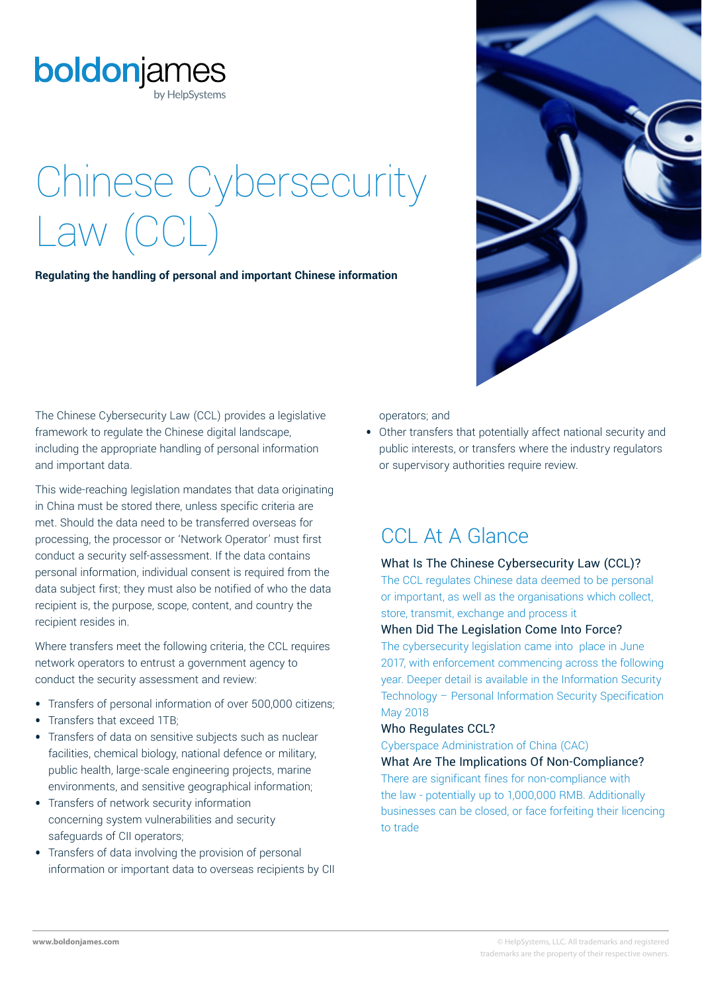

# Chinese Cybersecurity Law (CCL)

**Regulating the handling of personal and important Chinese information**

The Chinese Cybersecurity Law (CCL) provides a legislative framework to regulate the Chinese digital landscape, including the appropriate handling of personal information and important data.

This wide-reaching legislation mandates that data originating in China must be stored there, unless specific criteria are met. Should the data need to be transferred overseas for processing, the processor or 'Network Operator' must first conduct a security self-assessment. If the data contains personal information, individual consent is required from the data subject first; they must also be notified of who the data recipient is, the purpose, scope, content, and country the recipient resides in.

Where transfers meet the following criteria, the CCL requires network operators to entrust a government agency to conduct the security assessment and review:

- **•** Transfers of personal information of over 500,000 citizens;
- **•** Transfers that exceed 1TB;
- **•** Transfers of data on sensitive subjects such as nuclear facilities, chemical biology, national defence or military, public health, large-scale engineering projects, marine environments, and sensitive geographical information;
- **•** Transfers of network security information concerning system vulnerabilities and security safeguards of CII operators;
- **•** Transfers of data involving the provision of personal information or important data to overseas recipients by CII

operators; and

**•** Other transfers that potentially affect national security and public interests, or transfers where the industry regulators or supervisory authorities require review.

## CCL At A Glance

#### What Is The Chinese Cybersecurity Law (CCL)?

The CCL regulates Chinese data deemed to be personal or important, as well as the organisations which collect, store, transmit, exchange and process it

#### When Did The Legislation Come Into Force?

The cybersecurity legislation came into place in June 2017, with enforcement commencing across the following year. Deeper detail is available in the Information Security Technology – Personal Information Security Specification May 2018

#### Who Regulates CCL?

Cyberspace Administration of China (CAC)

What Are The Implications Of Non-Compliance? There are significant fines for non-compliance with the law - potentially up to 1,000,000 RMB. Additionally businesses can be closed, or face forfeiting their licencing to trade